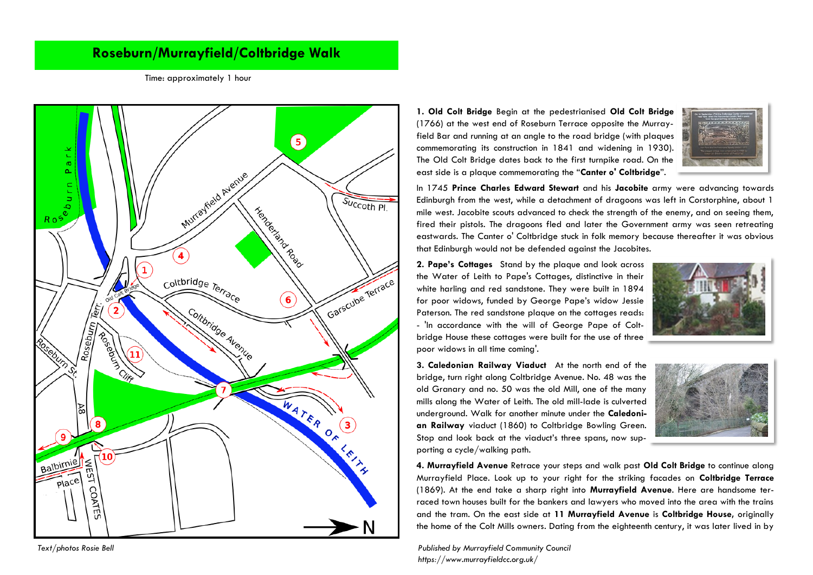## **Roseburn/Murrayfield/Coltbridge Walk**

Time: approximately 1 hour



**<sup>1.</sup> Old Colt Bridge** Begin at the pedestrianised **Old Colt Bridge** (1766) at the west end of Roseburn Terrace opposite the Murrayfield Bar and running at an angle to the road bridge (with plaques commemorating its construction in 1841 and widening in 1930). The Old Colt Bridge dates back to the first turnpike road. On the east side is a plaque commemorating the "**Canter o' Coltbridge**".



In 1745 **Prince Charles Edward Stewart** and his **Jacobite** army were advancing towards Edinburgh from the west, while a detachment of dragoons was left in Corstorphine, about 1 mile west. Jacobite scouts advanced to check the strength of the enemy, and on seeing them, fired their pistols. The dragoons fled and later the Government army was seen retreating eastwards. The Canter o' Coltbridge stuck in folk memory because thereafter it was obvious that Edinburgh would not be defended against the Jacobites.

**2. Pape's Cottages** Stand by the plaque and look across the Water of Leith to Pape's Cottages, distinctive in their white harling and red sandstone. They were built in 1894 for poor widows, funded by George Pape's widow Jessie Paterson. The red sandstone plaque on the cottages reads: - 'In accordance with the will of George Pape of Coltbridge House these cottages were built for the use of three poor widows in all time coming'.



**3. Caledonian Railway Viaduct** At the north end of the bridge, turn right along Coltbridge Avenue. No. 48 was the old Granary and no. 50 was the old Mill, one of the many mills along the Water of Leith. The old mill-lade is culverted underground. Walk for another minute under the **Caledonian Railway** viaduct (1860) to Coltbridge Bowling Green. Stop and look back at the viaduct's three spans, now supporting a cycle/walking path.



**4. Murrayfield Avenue** Retrace your steps and walk past **Old Colt Bridge** to continue along Murrayfield Place. Look up to your right for the striking facades on **Coltbridge Terrace**  (1869). At the end take a sharp right into **Murrayfield Avenue**. Here are handsome terraced town houses built for the bankers and lawyers who moved into the area with the trains and the tram. On the east side at **11 Murrayfield Avenue** is **Coltbridge House,** originally the home of the Colt Mills owners. Dating from the eighteenth century, it was later lived in by

*Text/photos Rosie Bell Published by Murrayfield Community Council https://www.murrayfieldcc.org.uk/*